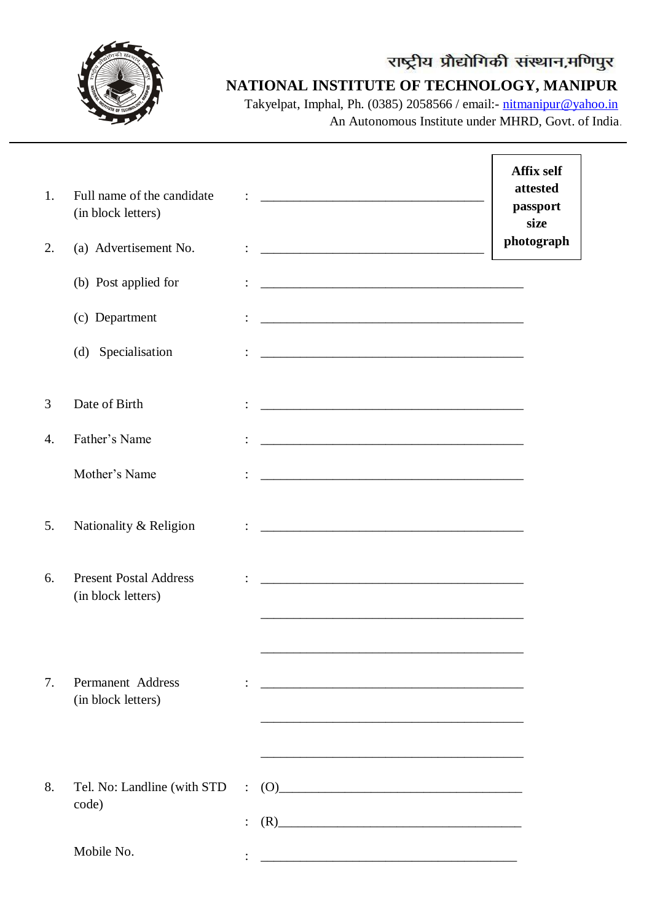

### **NATIONAL INSTITUTE OF TECHNOLOGY, MANIPUR**

Takyelpat, Imphal, Ph. (0385) 2058566 / email:- [nitmanipur@yahoo.in](mailto:nitmanipur@yahoo.in) An Autonomous Institute under MHRD, Govt. of India.

| 1.<br>2. | Full name of the candidate<br>(in block letters)<br>(a) Advertisement No. |                                  |                                                                                                                                                                                                                                                              | <b>Affix self</b><br>attested<br>passport<br>size<br>photograph |
|----------|---------------------------------------------------------------------------|----------------------------------|--------------------------------------------------------------------------------------------------------------------------------------------------------------------------------------------------------------------------------------------------------------|-----------------------------------------------------------------|
|          | (b) Post applied for                                                      |                                  |                                                                                                                                                                                                                                                              |                                                                 |
|          | (c) Department                                                            |                                  |                                                                                                                                                                                                                                                              |                                                                 |
|          | (d) Specialisation                                                        |                                  |                                                                                                                                                                                                                                                              |                                                                 |
| 3        | Date of Birth                                                             |                                  |                                                                                                                                                                                                                                                              |                                                                 |
| 4.       | Father's Name                                                             |                                  |                                                                                                                                                                                                                                                              |                                                                 |
|          | Mother's Name                                                             |                                  |                                                                                                                                                                                                                                                              |                                                                 |
| 5.       | Nationality & Religion                                                    |                                  | <u> 2008 - Jan Barnett, fransk politik (d. 1888)</u>                                                                                                                                                                                                         |                                                                 |
| 6.       | <b>Present Postal Address</b><br>(in block letters)                       |                                  |                                                                                                                                                                                                                                                              |                                                                 |
| 7.       | Permanent Address<br>(in block letters)                                   |                                  | <u> 1989 - Johann Barbara, margaret eta idazlearia (h. 1989).</u>                                                                                                                                                                                            |                                                                 |
| 8.       | Tel. No: Landline (with STD<br>code)                                      | $\ddot{\cdot}$<br>$\ddot{\cdot}$ | (0)<br>$(R)$ and $(R)$ and $(R)$ and $(R)$ and $(R)$ and $(R)$ and $(R)$ and $(R)$ and $(R)$ and $(R)$ and $(R)$ and $(R)$ and $(R)$ and $(R)$ and $(R)$ and $(R)$ and $(R)$ and $(R)$ and $(R)$ and $(R)$ and $(R)$ and $(R)$ and $(R)$ and $(R)$ and $(R)$ |                                                                 |
|          | Mobile No.                                                                |                                  | <u> 1989 - Johann Barn, amerikan besteman besteman besteman besteman besteman besteman besteman besteman besteman</u>                                                                                                                                        |                                                                 |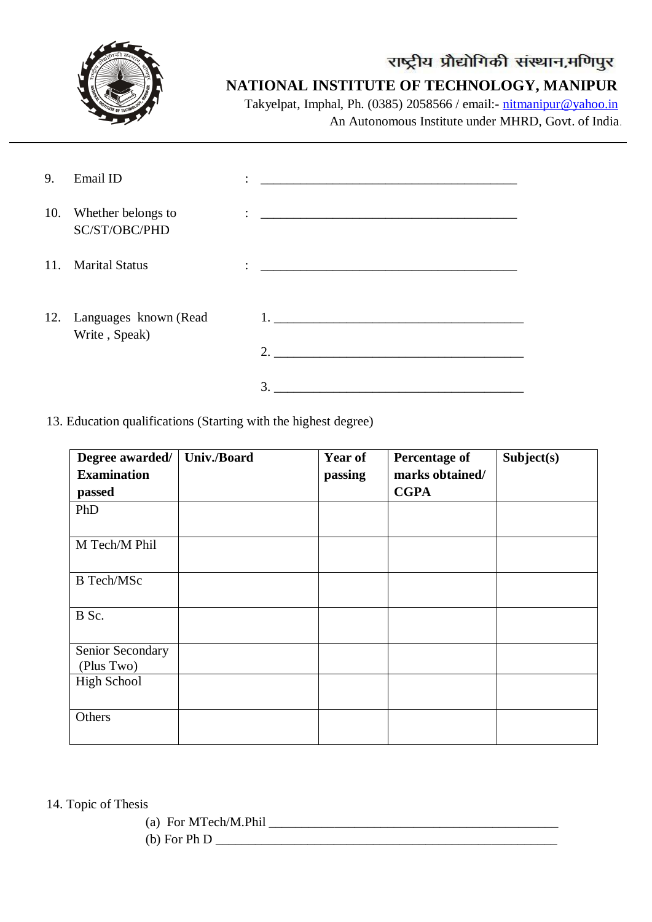

## **NATIONAL INSTITUTE OF TECHNOLOGY, MANIPUR**

Takyelpat, Imphal, Ph. (0385) 2058566 / email:- [nitmanipur@yahoo.in](mailto:nitmanipur@yahoo.in) An Autonomous Institute under MHRD, Govt. of India.

| 9.  | Email ID                                    | $\overline{\phantom{a}}$ |                                                    |
|-----|---------------------------------------------|--------------------------|----------------------------------------------------|
| 10. | Whether belongs to<br>SC/ST/OBC/PHD         |                          |                                                    |
| 11. | <b>Marital Status</b>                       | $\ddot{\cdot}$           |                                                    |
|     | 12. Languages known (Read)<br>Write, Speak) |                          | 1. <u>__________________________________</u><br>2. |
|     |                                             |                          | 3.                                                 |

13. Education qualifications (Starting with the highest degree)

| Degree awarded/                | <b>Univ./Board</b> | Year of | <b>Percentage of</b> | Subject(s) |
|--------------------------------|--------------------|---------|----------------------|------------|
| <b>Examination</b>             |                    | passing | marks obtained/      |            |
| passed                         |                    |         | <b>CGPA</b>          |            |
| PhD                            |                    |         |                      |            |
| M Tech/M Phil                  |                    |         |                      |            |
| <b>B</b> Tech/MSc              |                    |         |                      |            |
| B Sc.                          |                    |         |                      |            |
| Senior Secondary<br>(Plus Two) |                    |         |                      |            |
| <b>High School</b>             |                    |         |                      |            |
| Others                         |                    |         |                      |            |

- 14. Topic of Thesis
	- (a) For MTech/M.Phil  $\Box$
	- (b) For Ph D \_\_\_\_\_\_\_\_\_\_\_\_\_\_\_\_\_\_\_\_\_\_\_\_\_\_\_\_\_\_\_\_\_\_\_\_\_\_\_\_\_\_\_\_\_\_\_\_\_\_\_\_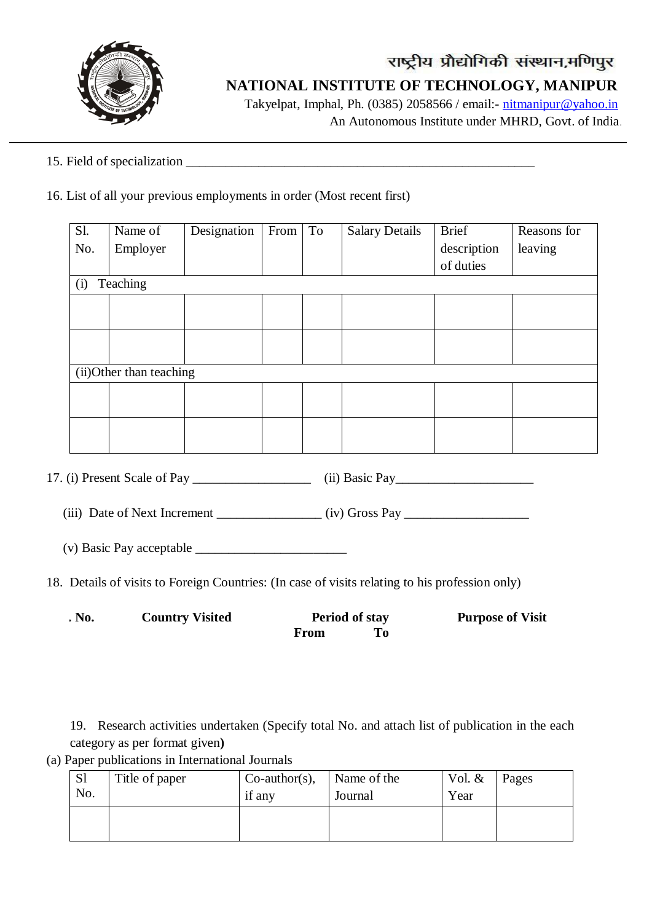

## **NATIONAL INSTITUTE OF TECHNOLOGY, MANIPUR**

Takyelpat, Imphal, Ph. (0385) 2058566 / email:- [nitmanipur@yahoo.in](mailto:nitmanipur@yahoo.in) An Autonomous Institute under MHRD, Govt. of India.

### 15. Field of specialization \_\_\_\_\_\_\_\_\_\_\_\_\_\_\_\_\_\_\_\_\_\_\_\_\_\_\_\_\_\_\_\_\_\_\_\_\_\_\_\_\_\_\_\_\_\_\_\_\_\_\_\_\_

#### 16. List of all your previous employments in order (Most recent first)

| <b>S1.</b> | Name of                  | Designation | From | To | <b>Salary Details</b> | <b>Brief</b> | Reasons for |
|------------|--------------------------|-------------|------|----|-----------------------|--------------|-------------|
| No.        | Employer                 |             |      |    |                       | description  | leaving     |
|            |                          |             |      |    |                       | of duties    |             |
| (i)        | Teaching                 |             |      |    |                       |              |             |
|            |                          |             |      |    |                       |              |             |
|            |                          |             |      |    |                       |              |             |
|            |                          |             |      |    |                       |              |             |
|            |                          |             |      |    |                       |              |             |
|            | (ii) Other than teaching |             |      |    |                       |              |             |
|            |                          |             |      |    |                       |              |             |
|            |                          |             |      |    |                       |              |             |
|            |                          |             |      |    |                       |              |             |
|            |                          |             |      |    |                       |              |             |

17. (i) Present Scale of Pay \_\_\_\_\_\_\_\_\_\_\_\_\_\_\_\_\_\_ (ii) Basic Pay\_\_\_\_\_\_\_\_\_\_\_\_\_\_\_\_\_\_\_\_\_

(iii) Date of Next Increment (iv) Gross Pay

(v) Basic Pay acceptable \_\_\_\_\_\_\_\_\_\_\_\_\_\_\_\_\_\_\_\_\_\_\_

18. Details of visits to Foreign Countries: (In case of visits relating to his profession only)

| . No. | <b>Country Visited</b> | <b>Period of stay</b> | <b>Purpose of Visit</b> |
|-------|------------------------|-----------------------|-------------------------|
|       |                        | From                  |                         |

19. Research activities undertaken (Specify total No. and attach list of publication in the each category as per format given**)**

(a) Paper publications in International Journals

| S <sub>1</sub><br>No. | Title of paper | $Co$ -author(s),<br>if any | Name of the<br>Journal | Vol. $&$<br>Year | Pages |
|-----------------------|----------------|----------------------------|------------------------|------------------|-------|
|                       |                |                            |                        |                  |       |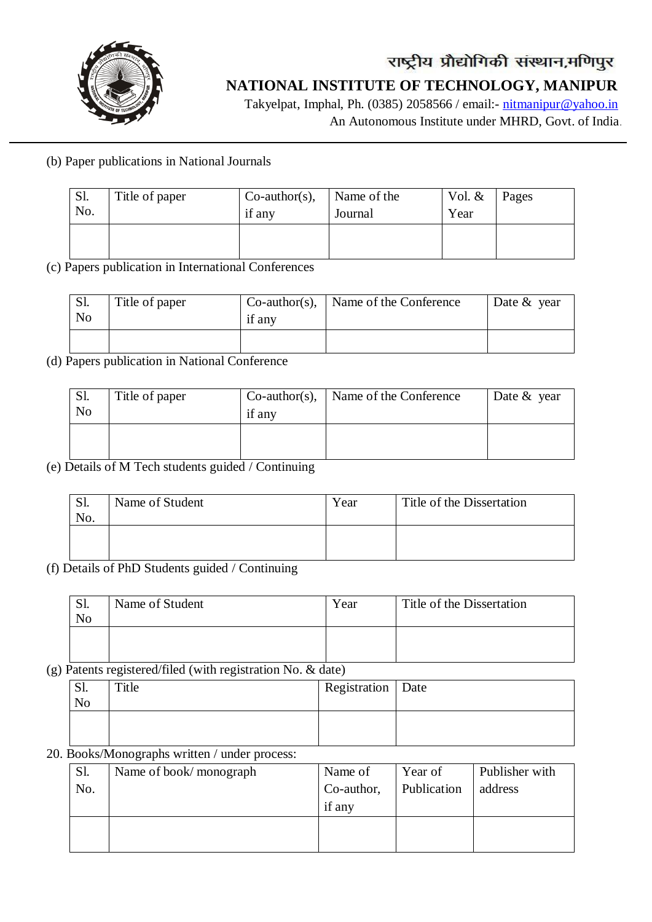

## राष्ट्रीय प्रौद्योगिकी संस्थान,मणिपुर  **NATIONAL INSTITUTE OF TECHNOLOGY, MANIPUR**

Takyelpat, Imphal, Ph. (0385) 2058566 / email:- [nitmanipur@yahoo.in](mailto:nitmanipur@yahoo.in)

An Autonomous Institute under MHRD, Govt. of India.

(b) Paper publications in National Journals

| Sl.<br>No. | Title of paper | $Co$ -author(s),<br>if any | Name of the<br>Journal | Vol. $&$<br>Year | Pages |
|------------|----------------|----------------------------|------------------------|------------------|-------|
|            |                |                            |                        |                  |       |

(c) Papers publication in International Conferences

| S1.<br>N <sub>o</sub> | Title of paper | $Co$ -author(s),<br>if any | Name of the Conference | Date $&$ year |
|-----------------------|----------------|----------------------------|------------------------|---------------|
|                       |                |                            |                        |               |

(d) Papers publication in National Conference

| $\mathbf{L}$<br>N <sub>o</sub> | Title of paper | $Co$ -author(s),<br>if any | Name of the Conference | Date $&$ year |
|--------------------------------|----------------|----------------------------|------------------------|---------------|
|                                |                |                            |                        |               |

(e) Details of M Tech students guided / Continuing

| Q1<br>OI.<br>No. | Name of Student | Year | Title of the Dissertation |
|------------------|-----------------|------|---------------------------|
|                  |                 |      |                           |

(f) Details of PhD Students guided / Continuing

| Sl.            | Name of Student | Year | Title of the Dissertation |
|----------------|-----------------|------|---------------------------|
| N <sub>o</sub> |                 |      |                           |
|                |                 |      |                           |
|                |                 |      |                           |

(g) Patents registered/filed (with registration No. & date)

| Sl.<br>N <sub>o</sub> | Title | Registration   Date |  |
|-----------------------|-------|---------------------|--|
|                       |       |                     |  |

### 20. Books/Monographs written / under process:

| Sl. | Name of book/monograph | Name of    | Year of     | Publisher with |
|-----|------------------------|------------|-------------|----------------|
| No. |                        | Co-author, | Publication | address        |
|     |                        | if any     |             |                |
|     |                        |            |             |                |
|     |                        |            |             |                |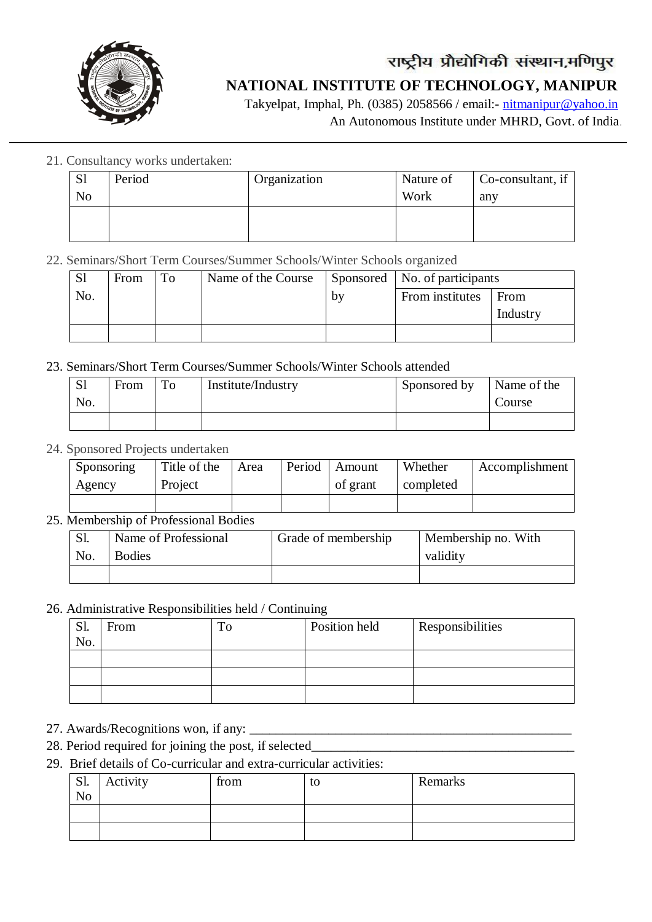

### **NATIONAL INSTITUTE OF TECHNOLOGY, MANIPUR**

Takyelpat, Imphal, Ph. (0385) 2058566 / email:- [nitmanipur@yahoo.in](mailto:nitmanipur@yahoo.in) An Autonomous Institute under MHRD, Govt. of India.

21. Consultancy works undertaken:

| S <sub>1</sub> | Period | Organization | Nature of | Co-consultant, if |
|----------------|--------|--------------|-----------|-------------------|
| N <sub>o</sub> |        |              | Work      | any               |
|                |        |              |           |                   |
|                |        |              |           |                   |

#### 22. Seminars/Short Term Courses/Summer Schools/Winter Schools organized

| S <sub>1</sub> | From | To | Name of the Course |    | Sponsored   No. of participants |          |
|----------------|------|----|--------------------|----|---------------------------------|----------|
| No.            |      |    |                    | bv | From institutes                 | From     |
|                |      |    |                    |    |                                 | Industry |

#### 23. Seminars/Short Term Courses/Summer Schools/Winter Schools attended

| <sub>S1</sub> | From | To | Institute/Industry | Sponsored by | Name of the |
|---------------|------|----|--------------------|--------------|-------------|
| No.           |      |    |                    |              | Course      |
|               |      |    |                    |              |             |

#### 24. Sponsored Projects undertaken

| Sponsoring | Title of the | Area | Period | Amount   | Whether   | Accomplishment |
|------------|--------------|------|--------|----------|-----------|----------------|
| Agency     | Project      |      |        | of grant | completed |                |
|            |              |      |        |          |           |                |

#### 25. Membership of Professional Bodies

| <b>S1.</b> | Name of Professional | Grade of membership | Membership no. With |
|------------|----------------------|---------------------|---------------------|
| No.        | <b>Bodies</b>        |                     | validity            |
|            |                      |                     |                     |

#### 26. Administrative Responsibilities held / Continuing

| C1<br>NI.<br>No. | From | Position held | <b>Responsibilities</b> |
|------------------|------|---------------|-------------------------|
|                  |      |               |                         |
|                  |      |               |                         |
|                  |      |               |                         |

27. Awards/Recognitions won, if any: \_\_\_\_\_\_\_\_\_\_\_\_\_\_\_\_\_\_\_\_\_\_\_\_\_\_\_\_\_\_\_\_\_\_\_\_\_\_\_\_\_\_\_\_\_\_\_\_\_

- 28. Period required for joining the post, if selected\_\_\_\_\_\_\_\_\_\_\_\_\_\_\_\_\_\_\_\_\_\_\_\_\_\_\_\_
- 29. Brief details of Co-curricular and extra-curricular activities:

| S1.            | Activity | from | to | Remarks |
|----------------|----------|------|----|---------|
| N <sub>o</sub> |          |      |    |         |
|                |          |      |    |         |
|                |          |      |    |         |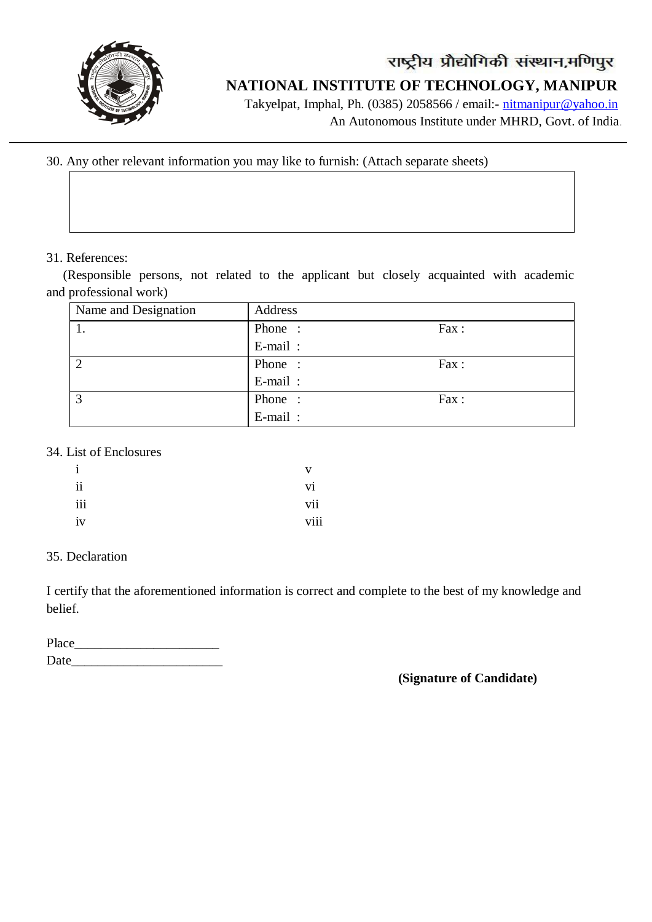

## राष्ट्रीय प्रौद्योगिकी संस्थान,मणिपुर  **NATIONAL INSTITUTE OF TECHNOLOGY, MANIPUR**

Takyelpat, Imphal, Ph. (0385) 2058566 / email:- [nitmanipur@yahoo.in](mailto:nitmanipur@yahoo.in)

An Autonomous Institute under MHRD, Govt. of India.

30. Any other relevant information you may like to furnish: (Attach separate sheets)

#### 31. References:

 (Responsible persons, not related to the applicant but closely acquainted with academic and professional work)

| Name and Designation | Address |      |
|----------------------|---------|------|
|                      | Phone:  | Fax: |
|                      | E-mail: |      |
| $\overline{2}$       | Phone:  | Fax: |
|                      | E-mail: |      |
| $\mathbf{c}$         | Phone:  | Fax: |
|                      | E-mail: |      |

#### 34. List of Enclosures

| $\mathbf{i}$ | v    |
|--------------|------|
| ii           | V1   |
| iii          | vii  |
| iv           | viii |

#### 35. Declaration

I certify that the aforementioned information is correct and complete to the best of my knowledge and belief.

| Place |  |  |  |
|-------|--|--|--|
| Date  |  |  |  |

#### **(Signature of Candidate)**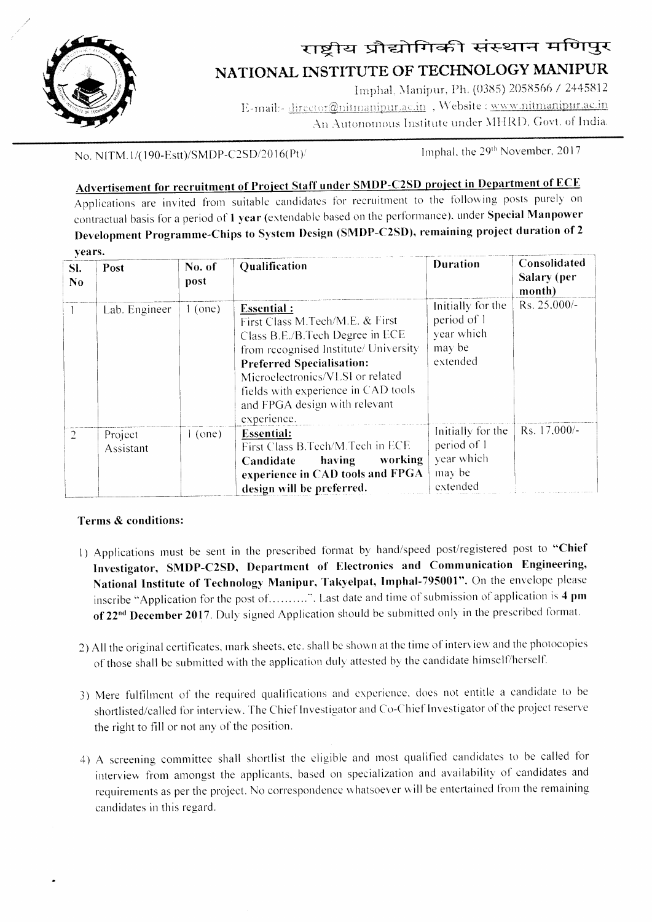

# राष्ट्रीय प्रौद्योगिकी संस्थान मणिपुर NATIONAL INSTITUTE OF TECHNOLOGY MANIPUR

Imphal, Manipur, Ph. (0385) 2058566 / 2445812 E-mail:- director@nitmanipur.ac.in, Website : www.nitmanipur.ac.in An Autonomous Institute under MHRD, Govt. of India.

No. NITM.1/(190-Estt)/SMDP-C2SD/2016(Pt)/

Imphal, the 29<sup>th</sup> November, 2017

## Advertisement for recruitment of Project Staff under SMDP-C2SD project in Department of ECE

Applications are invited from suitable candidates for recruitment to the following posts purely on contractual basis for a period of 1 year (extendable based on the performance), under Special Manpower Development Programme-Chips to System Design (SMDP-C2SD), remaining project duration of 2 vears.

| SI.<br>N <sub>0</sub> | Post                 | No. of<br>post | Qualification                                                                                                                                                                                                                                                                                   | <b>Duration</b>                                                      | Consolidated<br>Salary (per<br>month) |
|-----------------------|----------------------|----------------|-------------------------------------------------------------------------------------------------------------------------------------------------------------------------------------------------------------------------------------------------------------------------------------------------|----------------------------------------------------------------------|---------------------------------------|
|                       | Lab. Engineer        | (one)          | <b>Essential:</b><br>First Class M.Tech/M.E. & First<br>Class B.E./B.Tech Degree in ECE<br>from recognised Institute/ University<br><b>Preferred Specialisation:</b><br>Microelectronics/VLSI or related<br>fields with experience in CAD tools<br>and FPGA design with relevant<br>experience. | Initially for the<br>period of 1<br>year which<br>may be<br>extended | Rs. 25,000/-                          |
|                       | Project<br>Assistant | $1$ (one)      | <b>Essential:</b><br>First Class B.Tech/M.Tech in ECE<br>working<br>having<br>Candidate<br>experience in CAD tools and FPGA<br>design will be preferred.                                                                                                                                        | Initially for the<br>period of 1<br>year which<br>may be<br>extended | Rs. 17,000/-                          |

#### Terms & conditions:

- 1) Applications must be sent in the prescribed format by hand/speed post/registered post to "Chief Investigator, SMDP-C2SD, Department of Electronics and Communication Engineering, National Institute of Technology Manipur, Takyelpat, Imphal-795001". On the envelope please inscribe "Application for the post of.........". Last date and time of submission of application is 4 pm of 22<sup>nd</sup> December 2017. Duly signed Application should be submitted only in the prescribed format.
- 2) All the original certificates, mark sheets, etc. shall be shown at the time of interview and the photocopies of those shall be submitted with the application duly attested by the candidate himself/herself.
- 3) Mere fulfilment of the required qualifications and experience, does not entitle a candidate to be shortlisted/called for interview. The Chief Investigator and Co-Chief Investigator of the project reserve the right to fill or not any of the position.
- 4) A screening committee shall shortlist the eligible and most qualified candidates to be called for interview from amongst the applicants, based on specialization and availability of candidates and requirements as per the project. No correspondence whatsoever will be entertained from the remaining candidates in this regard.